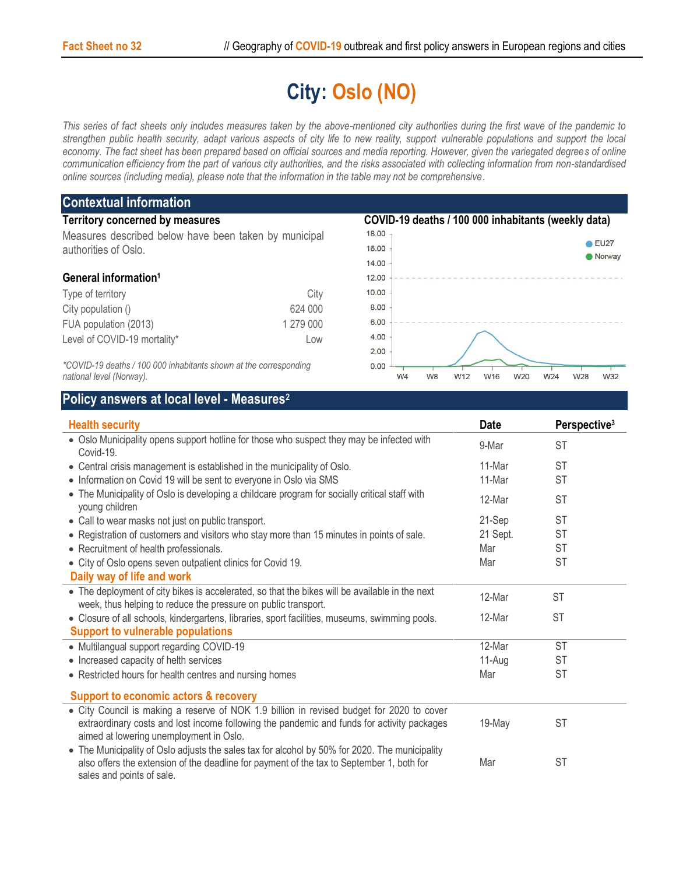## **City: Oslo (NO)**

*This series of fact sheets only includes measures taken by the above-mentioned city authorities during the first wave of the pandemic to strengthen public health security, adapt various aspects of city life to new reality, support vulnerable populations and support the local*  economy. The fact sheet has been prepared based on official sources and media reporting. However, given the variegated degrees of online *communication efficiency from the part of various city authorities, and the risks associated with collecting information from non-standardised online sources (including media), please note that the information in the table may not be comprehensive*.

| <b>Contextual information</b>                                                                 |           |                                                                      |                |  |  |
|-----------------------------------------------------------------------------------------------|-----------|----------------------------------------------------------------------|----------------|--|--|
| <b>Territory concerned by measures</b>                                                        |           | COVID-19 deaths / 100 000 inhabitants (weekly data)                  |                |  |  |
| Measures described below have been taken by municipal                                         |           | 18.00                                                                |                |  |  |
| authorities of Oslo.                                                                          |           | 16.00                                                                | EU27<br>Norway |  |  |
|                                                                                               |           | 14.00                                                                |                |  |  |
| General information <sup>1</sup>                                                              |           | 12.00                                                                |                |  |  |
| Type of territory                                                                             | City      | 10.00                                                                |                |  |  |
| City population ()                                                                            | 624 000   | 8.00                                                                 |                |  |  |
| FUA population (2013)                                                                         | 1 279 000 | 6.00                                                                 |                |  |  |
| Level of COVID-19 mortality*                                                                  | Low       | 4.00                                                                 |                |  |  |
|                                                                                               |           | 2.00                                                                 |                |  |  |
| *COVID-19 deaths / 100 000 inhabitants shown at the corresponding<br>national level (Norway). |           | 0.00<br>W24<br>W <sub>8</sub><br>W12<br>W16<br>W20<br>W <sub>4</sub> | W28<br>W32     |  |  |

## **Policy answers at local level - Measures<sup>2</sup>**

| <b>Health security</b>                                                                                                                                                                                                             | <b>Date</b> | Perspective <sup>3</sup> |
|------------------------------------------------------------------------------------------------------------------------------------------------------------------------------------------------------------------------------------|-------------|--------------------------|
| • Oslo Municipality opens support hotline for those who suspect they may be infected with<br>Covid-19.                                                                                                                             | 9-Mar       | <b>ST</b>                |
| • Central crisis management is established in the municipality of Oslo.                                                                                                                                                            | 11-Mar      | <b>ST</b>                |
| • Information on Covid 19 will be sent to everyone in Oslo via SMS                                                                                                                                                                 | 11-Mar      | <b>ST</b>                |
| • The Municipality of Oslo is developing a childcare program for socially critical staff with<br>young children                                                                                                                    | 12-Mar      | <b>ST</b>                |
| • Call to wear masks not just on public transport.                                                                                                                                                                                 | 21-Sep      | <b>ST</b>                |
| • Registration of customers and visitors who stay more than 15 minutes in points of sale.                                                                                                                                          | 21 Sept.    | <b>ST</b>                |
| • Recruitment of health professionals.                                                                                                                                                                                             | Mar         | <b>ST</b>                |
| • City of Oslo opens seven outpatient clinics for Covid 19.                                                                                                                                                                        | Mar         | <b>ST</b>                |
| Daily way of life and work                                                                                                                                                                                                         |             |                          |
| • The deployment of city bikes is accelerated, so that the bikes will be available in the next<br>week, thus helping to reduce the pressure on public transport.                                                                   | 12-Mar      | <b>ST</b>                |
| • Closure of all schools, kindergartens, libraries, sport facilities, museums, swimming pools.                                                                                                                                     | 12-Mar      | <b>ST</b>                |
| <b>Support to vulnerable populations</b>                                                                                                                                                                                           |             |                          |
| • Multilangual support regarding COVID-19                                                                                                                                                                                          | 12-Mar      | <b>ST</b>                |
| • Increased capacity of helth services                                                                                                                                                                                             | 11-Aug      | <b>ST</b>                |
| • Restricted hours for health centres and nursing homes                                                                                                                                                                            | Mar         | <b>ST</b>                |
| <b>Support to economic actors &amp; recovery</b>                                                                                                                                                                                   |             |                          |
| • City Council is making a reserve of NOK 1.9 billion in revised budget for 2020 to cover<br>extraordinary costs and lost income following the pandemic and funds for activity packages<br>aimed at lowering unemployment in Oslo. | 19-May      | <b>ST</b>                |
| • The Municipality of Oslo adjusts the sales tax for alcohol by 50% for 2020. The municipality<br>also offers the extension of the deadline for payment of the tax to September 1, both for<br>sales and points of sale.           | Mar         | <b>ST</b>                |